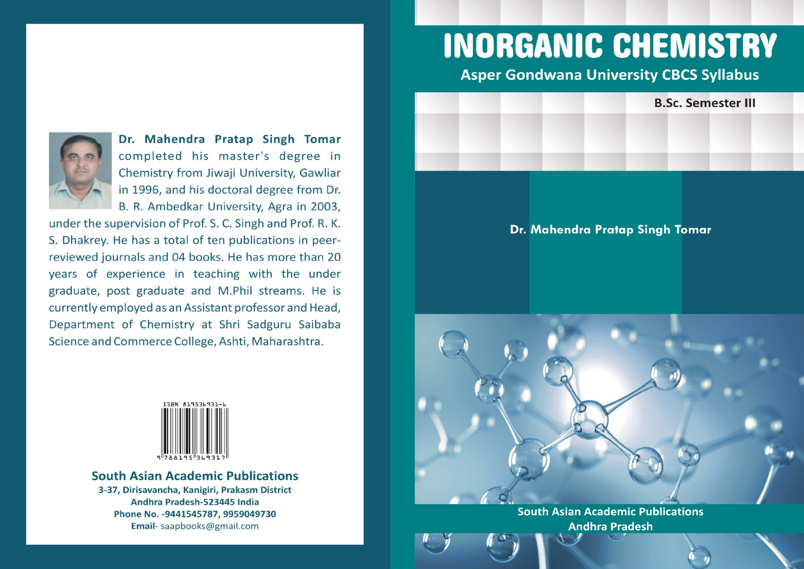

Dr. Mahendra Pratap Singh Tomar completed his master's degree in Chemistry from Jiwaji University, Gawliar in 1996, and his doctoral degree from Dr. B. R. Ambedkar University, Agra in 2003,

under the supervision of Prof. S. C. Singh and Prof. R. K. S. Dhakrey. He has a total of ten publications in peerreviewed journals and 04 books. He has more than 20 years of experience in teaching with the under graduate, post graduate and M.Phil streams. He is currently employed as an Assistant professor and Head, Department of Chemistry at Shri Sadguru Saibaba Science and Commerce College, Ashti, Maharashtra.



**South Asian Academic Publications** 3-37, Dirisavancha, Kanigiri, Prakasm District Andhra Pradesh-523445 India Phone No. - 9441545787, 9959049730 Email-saapbooks@gmail.com

# **INORGANIC CHEMISTRY**

**Asper Gondwana University CBCS Syllabus** 

**B.Sc. Semester III** 

Dr. Mahendra Pratap Singh Tomar

**South Asian Academic Publications Andhra Pradesh**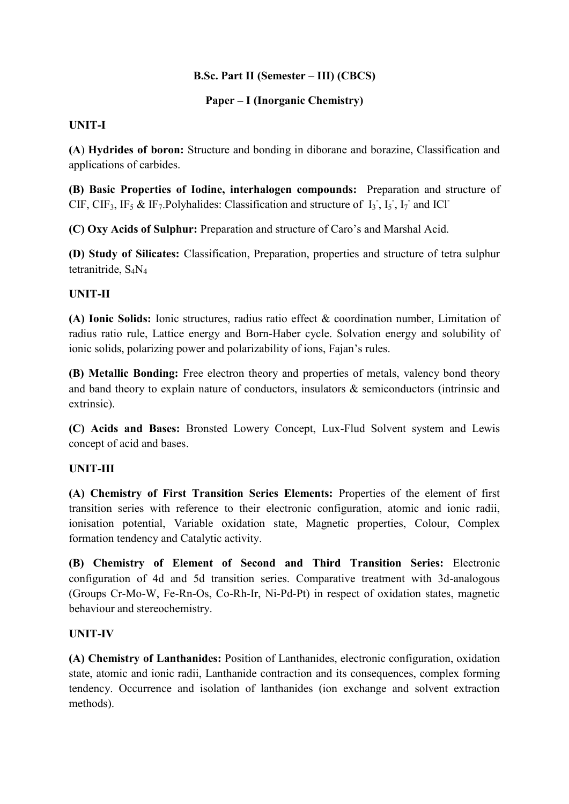#### **B.Sc. Part II (Semester – III) (CBCS)**

## **Paper – I (Inorganic Chemistry)**

## **UNIT-I**

**(A**) **Hydrides of boron:** Structure and bonding in diborane and borazine, Classification and applications of carbides.

**(B) Basic Properties of Iodine, interhalogen compounds:** Preparation and structure of CIF, CIF<sub>3</sub>, IF<sub>5</sub> & IF<sub>7</sub>. Polyhalides: Classification and structure of  $I_3$ ,  $I_5$ ,  $I_7$  and ICl<sup>-</sup>

**(C) Oxy Acids of Sulphur:** Preparation and structure of Caro's and Marshal Acid.

**(D) Study of Silicates:** Classification, Preparation, properties and structure of tetra sulphur tetranitride,  $S_4N_4$ 

# **UNIT-II**

**(A) Ionic Solids:** Ionic structures, radius ratio effect & coordination number, Limitation of radius ratio rule, Lattice energy and Born-Haber cycle. Solvation energy and solubility of ionic solids, polarizing power and polarizability of ions, Fajan's rules.

**(B) Metallic Bonding:** Free electron theory and properties of metals, valency bond theory and band theory to explain nature of conductors, insulators & semiconductors (intrinsic and extrinsic).

**(C) Acids and Bases:** Bronsted Lowery Concept, Lux-Flud Solvent system and Lewis concept of acid and bases.

#### **UNIT-III**

**(A) Chemistry of First Transition Series Elements:** Properties of the element of first transition series with reference to their electronic configuration, atomic and ionic radii, ionisation potential, Variable oxidation state, Magnetic properties, Colour, Complex formation tendency and Catalytic activity.

**(B) Chemistry of Element of Second and Third Transition Series:** Electronic configuration of 4d and 5d transition series. Comparative treatment with 3d-analogous (Groups Cr-Mo-W, Fe-Rn-Os, Co-Rh-Ir, Ni-Pd-Pt) in respect of oxidation states, magnetic behaviour and stereochemistry.

# **UNIT-IV**

**(A) Chemistry of Lanthanides:** Position of Lanthanides, electronic configuration, oxidation state, atomic and ionic radii, Lanthanide contraction and its consequences, complex forming tendency. Occurrence and isolation of lanthanides (ion exchange and solvent extraction methods).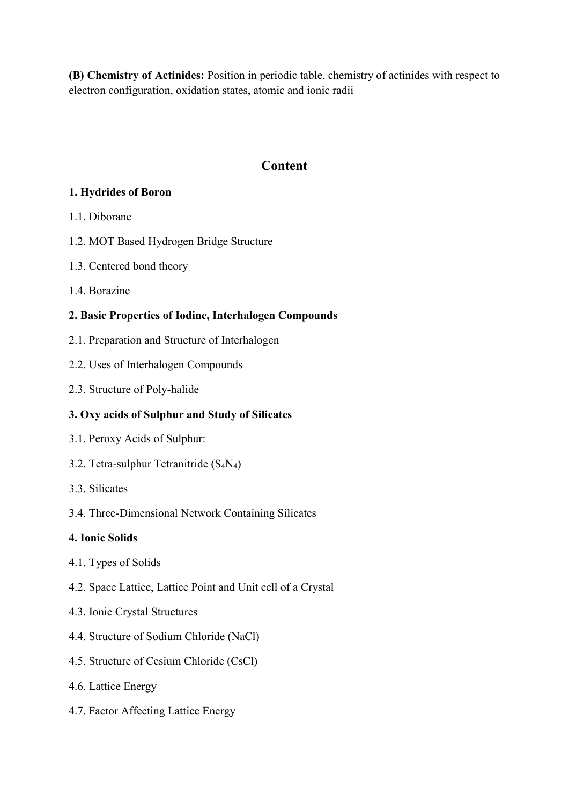**(B) Chemistry of Actinides:** Position in periodic table, chemistry of actinides with respect to electron configuration, oxidation states, atomic and ionic radii

# **Content**

# **1. Hydrides of Boron**

- 1.1. Diborane
- 1.2. MOT Based Hydrogen Bridge Structure
- 1.3. Centered bond theory
- 1.4. Borazine

# **2. Basic Properties of Iodine, Interhalogen Compounds**

- 2.1. Preparation and Structure of Interhalogen
- 2.2. Uses of Interhalogen Compounds
- 2.3. Structure of Poly-halide

# **3. Oxy acids of Sulphur and Study of Silicates**

- 3.1. Peroxy Acids of Sulphur:
- 3.2. Tetra-sulphur Tetranitride (S4N4)
- 3.3. Silicates
- 3.4. Three-Dimensional Network Containing Silicates

# **4. Ionic Solids**

- 4.1. Types of Solids
- 4.2. Space Lattice, Lattice Point and Unit cell of a Crystal
- 4.3. Ionic Crystal Structures
- 4.4. Structure of Sodium Chloride (NaCl)
- 4.5. Structure of Cesium Chloride (CsCl)
- 4.6. Lattice Energy
- 4.7. Factor Affecting Lattice Energy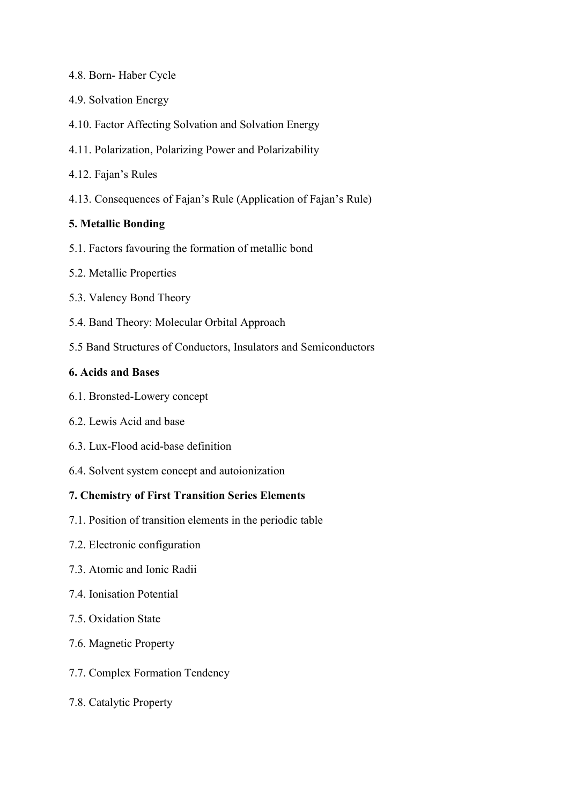- 4.8. Born- Haber Cycle
- 4.9. Solvation Energy
- 4.10. Factor Affecting Solvation and Solvation Energy
- 4.11. Polarization, Polarizing Power and Polarizability
- 4.12. Fajan's Rules
- 4.13. Consequences of Fajan's Rule (Application of Fajan's Rule)

#### **5. Metallic Bonding**

- 5.1. Factors favouring the formation of metallic bond
- 5.2. Metallic Properties
- 5.3. Valency Bond Theory
- 5.4. Band Theory: Molecular Orbital Approach
- 5.5 Band Structures of Conductors, Insulators and Semiconductors

#### **6. Acids and Bases**

- 6.1. Bronsted-Lowery concept
- 6.2. Lewis Acid and base
- 6.3. Lux-Flood acid-base definition
- 6.4. Solvent system concept and autoionization

## **7. Chemistry of First Transition Series Elements**

- 7.1. Position of transition elements in the periodic table
- 7.2. Electronic configuration
- 7.3. Atomic and Ionic Radii
- 7.4. Ionisation Potential
- 7.5. Oxidation State
- 7.6. Magnetic Property
- 7.7. Complex Formation Tendency
- 7.8. Catalytic Property